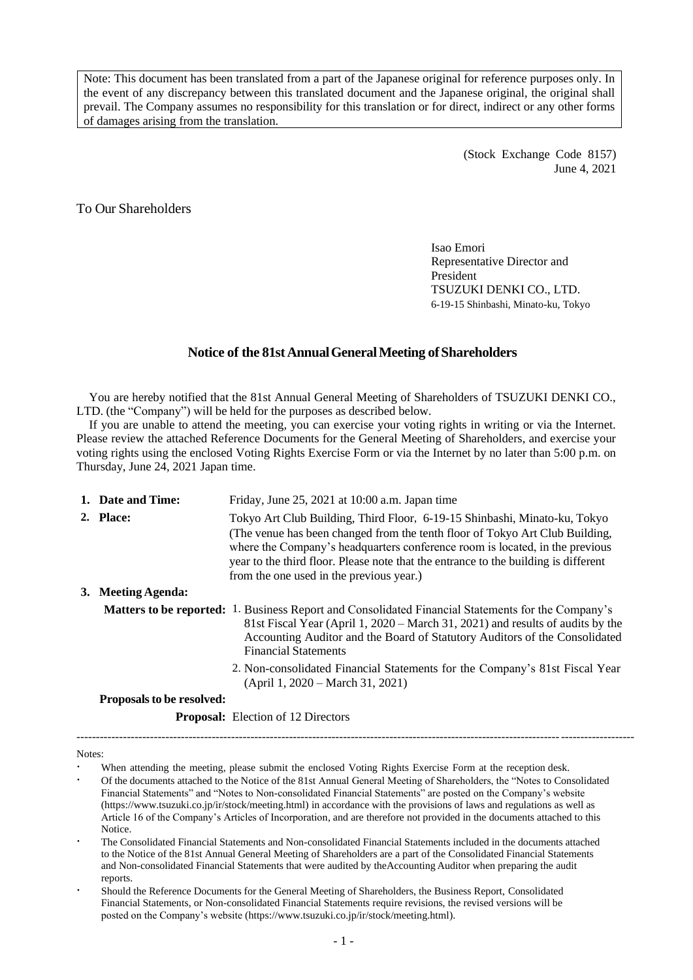Note: This document has been translated from a part of the Japanese original for reference purposes only. In the event of any discrepancy between this translated document and the Japanese original, the original shall prevail. The Company assumes no responsibility for this translation or for direct, indirect or any other forms of damages arising from the translation.

> (Stock Exchange Code 8157) June 4, 2021

To Our Shareholders

Isao Emori Representative Director and President TSUZUKI DENKI CO., LTD. 6-19-15 Shinbashi, Minato-ku, Tokyo

## **Notice of the 81stAnnualGeneralMeeting ofShareholders**

You are hereby notified that the 81st Annual General Meeting of Shareholders of TSUZUKI DENKI CO., LTD. (the "Company") will be held for the purposes as described below.

If you are unable to attend the meeting, you can exercise your voting rights in writing or via the Internet. Please review the attached Reference Documents for the General Meeting of Shareholders, and exercise your voting rights using the enclosed Voting Rights Exercise Form or via the Internet by no later than 5:00 p.m. on Thursday, June 24, 2021 Japan time.

| 1. Date and Time:  | Friday, June 25, 2021 at 10:00 a.m. Japan time                                                                                                                                                                                                                                                                                                                                          |
|--------------------|-----------------------------------------------------------------------------------------------------------------------------------------------------------------------------------------------------------------------------------------------------------------------------------------------------------------------------------------------------------------------------------------|
| 2. Place:          | Tokyo Art Club Building, Third Floor, 6-19-15 Shinbashi, Minato-ku, Tokyo<br>(The venue has been changed from the tenth floor of Tokyo Art Club Building,<br>where the Company's headquarters conference room is located, in the previous<br>year to the third floor. Please note that the entrance to the building is different<br>from the one used in the previous year.)            |
| 3. Meeting Agenda: |                                                                                                                                                                                                                                                                                                                                                                                         |
|                    | <b>Matters to be reported:</b> 1. Business Report and Consolidated Financial Statements for the Company's<br>81st Fiscal Year (April 1, 2020 – March 31, 2021) and results of audits by the<br>Accounting Auditor and the Board of Statutory Auditors of the Consolidated<br><b>Financial Statements</b><br>2. Non-consolidated Financial Statements for the Company's 81st Fiscal Year |
|                    | $(April 1, 2020 - March 31, 2021)$                                                                                                                                                                                                                                                                                                                                                      |

**Proposalsto be resolved:**

**Proposal:** Election of 12 Directors

Notes:

 When attending the meeting, please submit the enclosed Voting Rights Exercise Form at the reception desk. Of the documents attached to the Notice of the 81st Annual General Meeting of Shareholders, the "Notes to Consolidated Financial Statements" and "Notes to Non-consolidated Financial Statements" are posted on the Company's website (https://www.tsuzuki.co.jp/ir/stock/meeting.html) in accordance with the provisions of laws and regulations as well as Article 16 of the Company's Articles of Incorporation, and are therefore not provided in the documents attached to this Notice.

------------------------------------------------------------------------------------------------------------------------------------------------

- The Consolidated Financial Statements and Non-consolidated Financial Statements included in the documents attached to the Notice of the 81st Annual General Meeting of Shareholders are a part of the Consolidated Financial Statements and Non-consolidated Financial Statements that were audited by theAccounting Auditor when preparing the audit reports.
- Should the Reference Documents for the General Meeting of Shareholders, the Business Report, Consolidated Financial Statements, or Non-consolidated Financial Statements require revisions, the revised versions will be posted on the Company's website (https://www.tsuzuki.co.jp/ir/stock/meeting.html).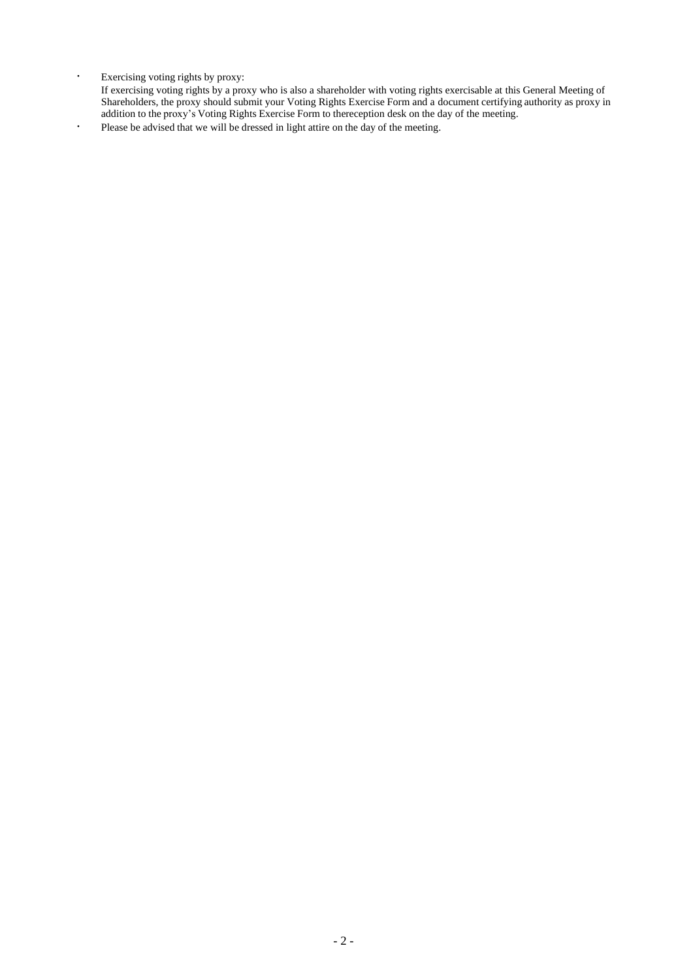Exercising voting rights by proxy:

If exercising voting rights by a proxy who is also a shareholder with voting rights exercisable at this General Meeting of Shareholders, the proxy should submit your Voting Rights Exercise Form and a document certifying authority as proxy in addition to the proxy's Voting Rights Exercise Form to thereception desk on the day of the meeting.

Please be advised that we will be dressed in light attire on the day of the meeting.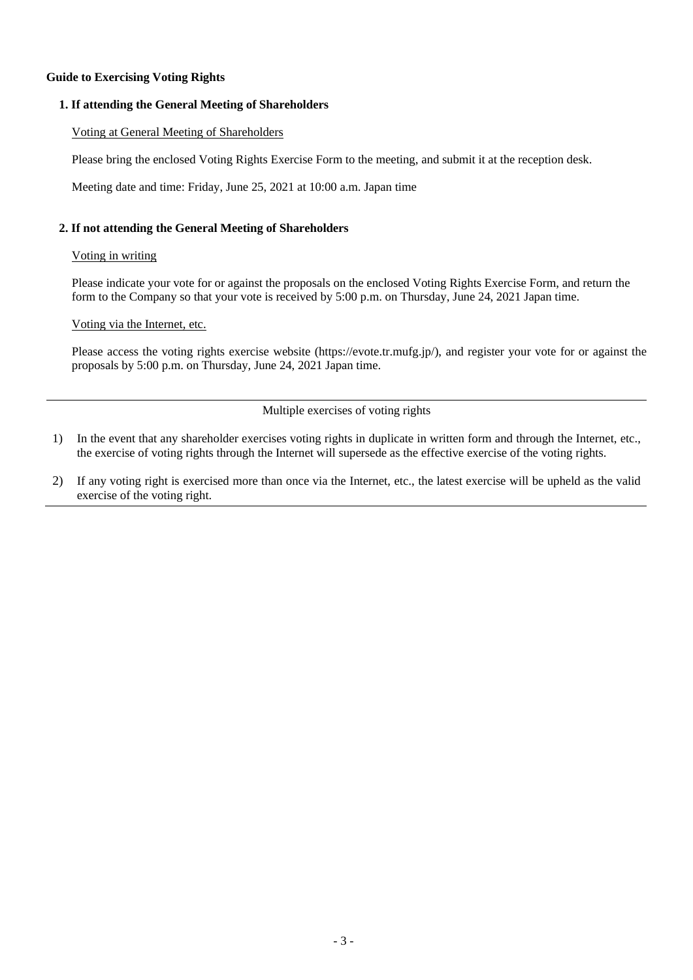## **Guide to Exercising Voting Rights**

## **1. If attending the General Meeting of Shareholders**

## Voting at General Meeting of Shareholders

Please bring the enclosed Voting Rights Exercise Form to the meeting, and submit it at the reception desk.

Meeting date and time: Friday, June 25, 2021 at 10:00 a.m. Japan time

## **2. If not attending the General Meeting of Shareholders**

#### Voting in writing

Please indicate your vote for or against the proposals on the enclosed Voting Rights Exercise Form, and return the form to the Company so that your vote is received by 5:00 p.m. on Thursday, June 24, 2021 Japan time.

## Voting via the Internet, etc.

Please access the voting rights exercise website (https://evote.tr.mufg.jp/), and register your vote for or against the proposals by 5:00 p.m. on Thursday, June 24, 2021 Japan time.

Multiple exercises of voting rights

- 1) In the event that any shareholder exercises voting rights in duplicate in written form and through the Internet, etc., the exercise of voting rights through the Internet will supersede as the effective exercise of the voting rights.
- 2) If any voting right is exercised more than once via the Internet, etc., the latest exercise will be upheld as the valid exercise of the voting right.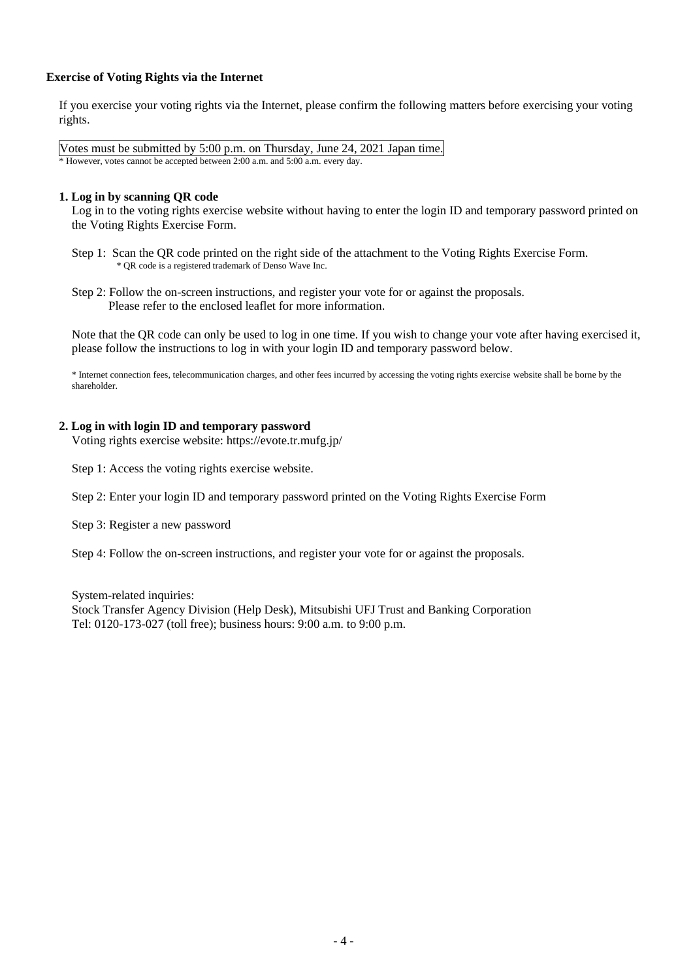# **Exercise of Voting Rights via the Internet**

If you exercise your voting rights via the Internet, please confirm the following matters before exercising your voting rights.

Votes must be submitted by 5:00 p.m. on Thursday, June 24, 2021 Japan time. \* However, votes cannot be accepted between 2:00 a.m. and 5:00 a.m. every day.

#### **1. Log in by scanning QR code**

Log in to the voting rights exercise website without having to enter the login ID and temporary password printed on the Voting Rights Exercise Form.

Step 1: Scan the QR code printed on the right side of the attachment to the Voting Rights Exercise Form. \* QR code is a registered trademark of Denso Wave Inc.

Step 2: Follow the on-screen instructions, and register your vote for or against the proposals. Please refer to the enclosed leaflet for more information.

Note that the QR code can only be used to log in one time. If you wish to change your vote after having exercised it, please follow the instructions to log in with your login ID and temporary password below.

\* Internet connection fees, telecommunication charges, and other fees incurred by accessing the voting rights exercise website shall be borne by the shareholder.

## **2. Log in with login ID and temporary password**

Voting rights exercise website: https://evote.tr.mufg.jp/

Step 1: Access the voting rights exercise website.

Step 2: Enter your login ID and temporary password printed on the Voting Rights Exercise Form

Step 3: Register a new password

Step 4: Follow the on-screen instructions, and register your vote for or against the proposals.

System-related inquiries:

Stock Transfer Agency Division (Help Desk), Mitsubishi UFJ Trust and Banking Corporation Tel: 0120-173-027 (toll free); business hours: 9:00 a.m. to 9:00 p.m.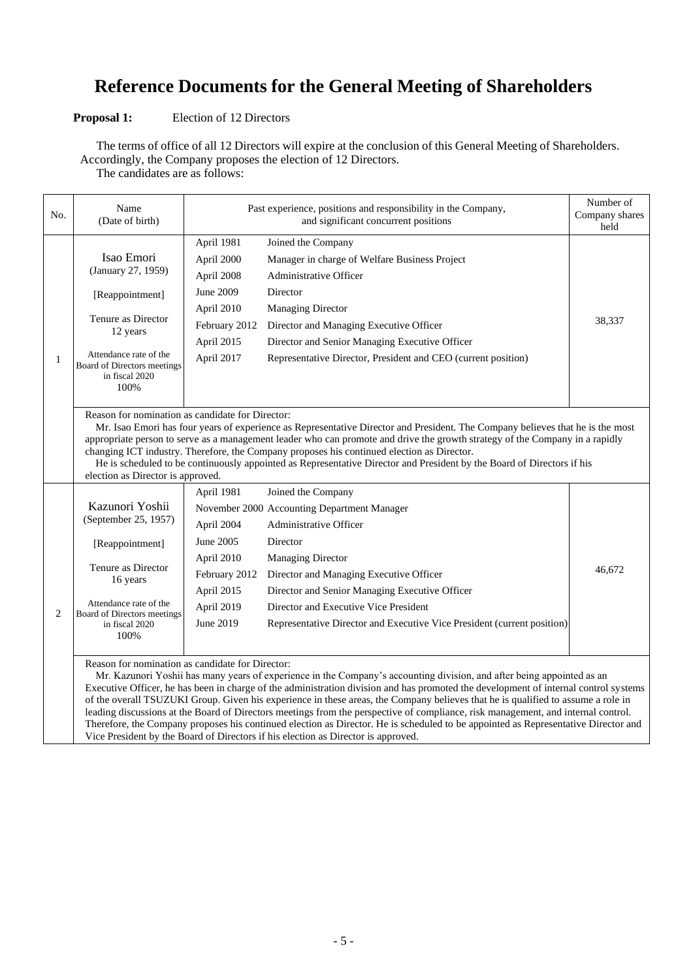# **Reference Documents for the General Meeting of Shareholders**

# **Proposal 1:** Election of 12 Directors

The terms of office of all 12 Directors will expire at the conclusion of this General Meeting of Shareholders. Accordingly, the Company proposes the election of 12 Directors.

The candidates are as follows:

| No.          | Name<br>(Date of birth)                                                                                                                                                                                                                                                                                                                                                                                                                                                                                                                                                                                                                                                                                                           | Past experience, positions and responsibility in the Company,                                                 | Number of<br>Company shares<br>held                                                                                                                                                                                                                                                                                                                         |        |  |  |
|--------------|-----------------------------------------------------------------------------------------------------------------------------------------------------------------------------------------------------------------------------------------------------------------------------------------------------------------------------------------------------------------------------------------------------------------------------------------------------------------------------------------------------------------------------------------------------------------------------------------------------------------------------------------------------------------------------------------------------------------------------------|---------------------------------------------------------------------------------------------------------------|-------------------------------------------------------------------------------------------------------------------------------------------------------------------------------------------------------------------------------------------------------------------------------------------------------------------------------------------------------------|--------|--|--|
| $\mathbf{1}$ | Isao Emori<br>(January 27, 1959)<br>[Reappointment]                                                                                                                                                                                                                                                                                                                                                                                                                                                                                                                                                                                                                                                                               | April 1981<br>April 2000<br>April 2008<br>June 2009                                                           | Joined the Company<br>Manager in charge of Welfare Business Project<br><b>Administrative Officer</b><br>Director                                                                                                                                                                                                                                            |        |  |  |
|              | Tenure as Director<br>12 years<br>Attendance rate of the<br>Board of Directors meetings<br>in fiscal 2020<br>100%                                                                                                                                                                                                                                                                                                                                                                                                                                                                                                                                                                                                                 | April 2010<br>February 2012<br>April 2015<br>April 2017                                                       | <b>Managing Director</b><br>Director and Managing Executive Officer<br>Director and Senior Managing Executive Officer<br>Representative Director, President and CEO (current position)                                                                                                                                                                      | 38,337 |  |  |
|              | Reason for nomination as candidate for Director:<br>Mr. Isao Emori has four years of experience as Representative Director and President. The Company believes that he is the most<br>appropriate person to serve as a management leader who can promote and drive the growth strategy of the Company in a rapidly<br>changing ICT industry. Therefore, the Company proposes his continued election as Director.<br>He is scheduled to be continuously appointed as Representative Director and President by the Board of Directors if his<br>election as Director is approved.                                                                                                                                                   |                                                                                                               |                                                                                                                                                                                                                                                                                                                                                             |        |  |  |
| 2            | Kazunori Yoshii<br>(September 25, 1957)<br>[Reappointment]<br>Tenure as Director<br>16 years<br>Attendance rate of the<br>Board of Directors meetings<br>in fiscal 2020<br>100%                                                                                                                                                                                                                                                                                                                                                                                                                                                                                                                                                   | April 1981<br>April 2004<br>June 2005<br>April 2010<br>February 2012<br>April 2015<br>April 2019<br>June 2019 | Joined the Company<br>November 2000 Accounting Department Manager<br><b>Administrative Officer</b><br>Director<br><b>Managing Director</b><br>Director and Managing Executive Officer<br>Director and Senior Managing Executive Officer<br>Director and Executive Vice President<br>Representative Director and Executive Vice President (current position) | 46.672 |  |  |
|              | Reason for nomination as candidate for Director:<br>Mr. Kazunori Yoshii has many years of experience in the Company's accounting division, and after being appointed as an<br>Executive Officer, he has been in charge of the administration division and has promoted the development of internal control systems<br>of the overall TSUZUKI Group. Given his experience in these areas, the Company believes that he is qualified to assume a role in<br>leading discussions at the Board of Directors meetings from the perspective of compliance, risk management, and internal control.<br>Therefore, the Company proposes his continued election as Director. He is scheduled to be appointed as Representative Director and |                                                                                                               |                                                                                                                                                                                                                                                                                                                                                             |        |  |  |

Vice President by the Board of Directors if his election as Director is approved.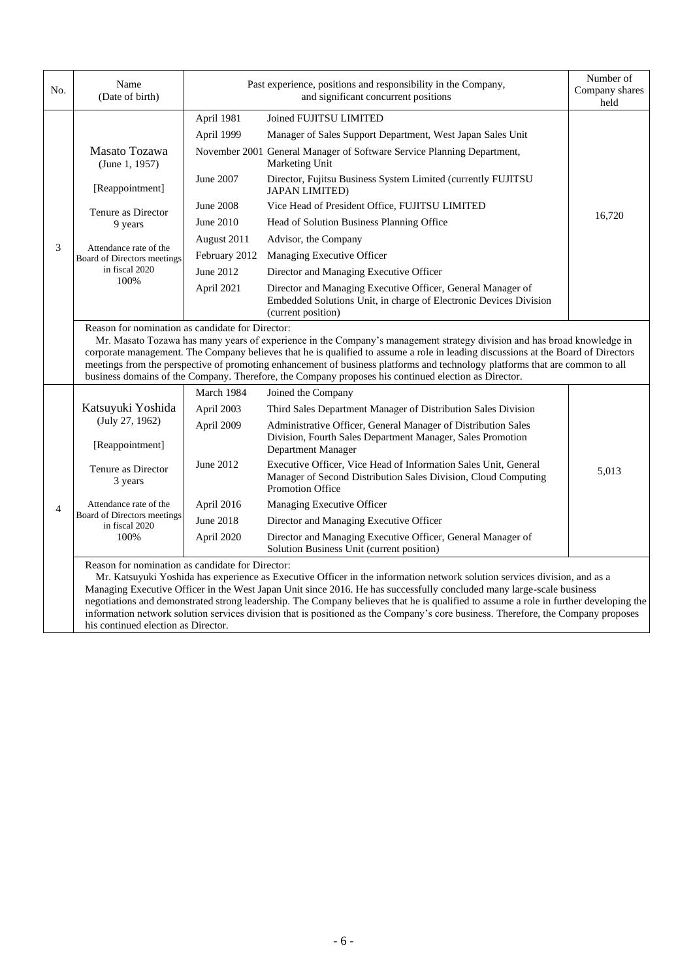| No.            | Name<br>(Date of birth)                                                                                                                                                                                                                                                                                                                                                                                                                                                                                                                                                                                                     | Past experience, positions and responsibility in the Company,<br>and significant concurrent positions |                                                                                                                                                              | Number of<br>Company shares<br>held |  |
|----------------|-----------------------------------------------------------------------------------------------------------------------------------------------------------------------------------------------------------------------------------------------------------------------------------------------------------------------------------------------------------------------------------------------------------------------------------------------------------------------------------------------------------------------------------------------------------------------------------------------------------------------------|-------------------------------------------------------------------------------------------------------|--------------------------------------------------------------------------------------------------------------------------------------------------------------|-------------------------------------|--|
|                |                                                                                                                                                                                                                                                                                                                                                                                                                                                                                                                                                                                                                             | April 1981                                                                                            | Joined FUJITSU LIMITED                                                                                                                                       |                                     |  |
|                |                                                                                                                                                                                                                                                                                                                                                                                                                                                                                                                                                                                                                             | April 1999                                                                                            | Manager of Sales Support Department, West Japan Sales Unit                                                                                                   |                                     |  |
|                | Masato Tozawa<br>(June 1, 1957)                                                                                                                                                                                                                                                                                                                                                                                                                                                                                                                                                                                             |                                                                                                       | November 2001 General Manager of Software Service Planning Department,<br>Marketing Unit                                                                     |                                     |  |
|                | [Reappointment]                                                                                                                                                                                                                                                                                                                                                                                                                                                                                                                                                                                                             | June 2007                                                                                             | Director, Fujitsu Business System Limited (currently FUJITSU<br><b>JAPAN LIMITED)</b>                                                                        |                                     |  |
|                | Tenure as Director                                                                                                                                                                                                                                                                                                                                                                                                                                                                                                                                                                                                          | <b>June 2008</b>                                                                                      | Vice Head of President Office, FUJITSU LIMITED                                                                                                               |                                     |  |
|                | 9 years                                                                                                                                                                                                                                                                                                                                                                                                                                                                                                                                                                                                                     | June 2010                                                                                             | Head of Solution Business Planning Office                                                                                                                    | 16,720                              |  |
| 3              |                                                                                                                                                                                                                                                                                                                                                                                                                                                                                                                                                                                                                             | August 2011                                                                                           | Advisor, the Company                                                                                                                                         |                                     |  |
|                | Attendance rate of the<br>Board of Directors meetings                                                                                                                                                                                                                                                                                                                                                                                                                                                                                                                                                                       | February 2012                                                                                         | Managing Executive Officer                                                                                                                                   |                                     |  |
|                | in fiscal 2020                                                                                                                                                                                                                                                                                                                                                                                                                                                                                                                                                                                                              | June 2012                                                                                             | Director and Managing Executive Officer                                                                                                                      |                                     |  |
|                | 100%                                                                                                                                                                                                                                                                                                                                                                                                                                                                                                                                                                                                                        | April 2021                                                                                            | Director and Managing Executive Officer, General Manager of<br>Embedded Solutions Unit, in charge of Electronic Devices Division<br>(current position)       |                                     |  |
|                | Reason for nomination as candidate for Director:<br>Mr. Masato Tozawa has many years of experience in the Company's management strategy division and has broad knowledge in<br>corporate management. The Company believes that he is qualified to assume a role in leading discussions at the Board of Directors<br>meetings from the perspective of promoting enhancement of business platforms and technology platforms that are common to all<br>business domains of the Company. Therefore, the Company proposes his continued election as Director.                                                                    |                                                                                                       |                                                                                                                                                              |                                     |  |
|                | Katsuyuki Yoshida                                                                                                                                                                                                                                                                                                                                                                                                                                                                                                                                                                                                           | March 1984                                                                                            | Joined the Company                                                                                                                                           |                                     |  |
|                |                                                                                                                                                                                                                                                                                                                                                                                                                                                                                                                                                                                                                             | April 2003                                                                                            | Third Sales Department Manager of Distribution Sales Division                                                                                                |                                     |  |
|                | (July 27, 1962)<br>[Reappointment]                                                                                                                                                                                                                                                                                                                                                                                                                                                                                                                                                                                          | April 2009                                                                                            | Administrative Officer, General Manager of Distribution Sales<br>Division, Fourth Sales Department Manager, Sales Promotion<br>Department Manager            |                                     |  |
|                | Tenure as Director<br>3 years                                                                                                                                                                                                                                                                                                                                                                                                                                                                                                                                                                                               | June 2012                                                                                             | Executive Officer, Vice Head of Information Sales Unit, General<br>Manager of Second Distribution Sales Division, Cloud Computing<br><b>Promotion Office</b> | 5,013                               |  |
| $\overline{4}$ | Attendance rate of the                                                                                                                                                                                                                                                                                                                                                                                                                                                                                                                                                                                                      | April 2016                                                                                            | Managing Executive Officer                                                                                                                                   |                                     |  |
|                | Board of Directors meetings<br>in fiscal 2020<br>100%                                                                                                                                                                                                                                                                                                                                                                                                                                                                                                                                                                       | <b>June 2018</b>                                                                                      | Director and Managing Executive Officer                                                                                                                      |                                     |  |
|                |                                                                                                                                                                                                                                                                                                                                                                                                                                                                                                                                                                                                                             | April 2020                                                                                            | Director and Managing Executive Officer, General Manager of<br>Solution Business Unit (current position)                                                     |                                     |  |
|                | Reason for nomination as candidate for Director:<br>Mr. Katsuyuki Yoshida has experience as Executive Officer in the information network solution services division, and as a<br>Managing Executive Officer in the West Japan Unit since 2016. He has successfully concluded many large-scale business<br>negotiations and demonstrated strong leadership. The Company believes that he is qualified to assume a role in further developing the<br>information network solution services division that is positioned as the Company's core business. Therefore, the Company proposes<br>his continued election as Director. |                                                                                                       |                                                                                                                                                              |                                     |  |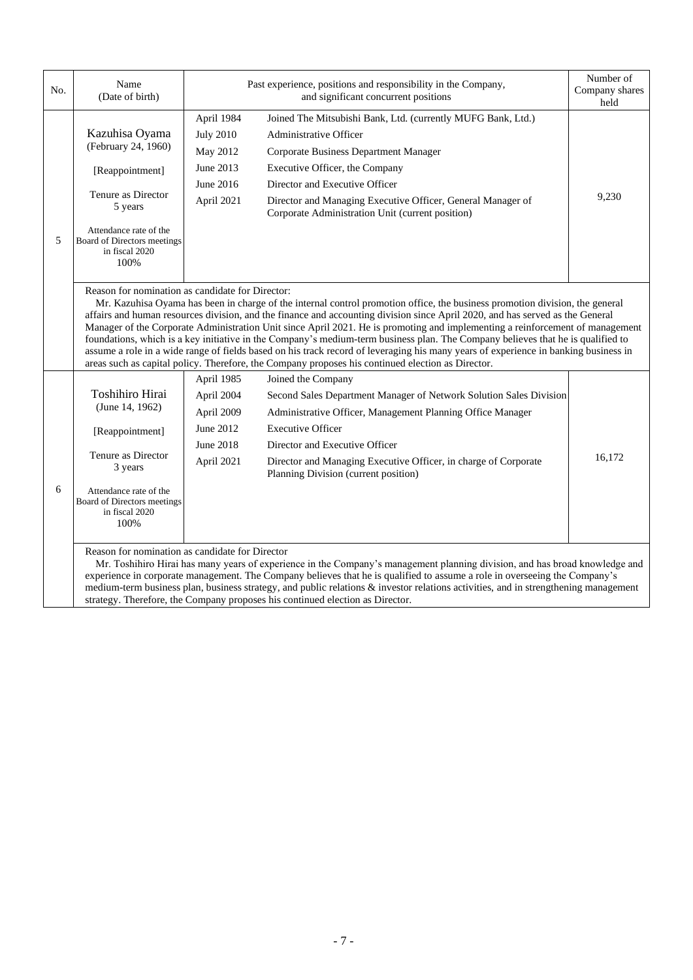| No. | Name<br>(Date of birth)                                                                                                                                                                                                                                                                                                                                                                                                                                                                                                                                                                                                                                                                                                                                                                                                           |                                            | Past experience, positions and responsibility in the Company,<br>and significant concurrent positions                           | Number of<br>Company shares<br>held |  |  |  |
|-----|-----------------------------------------------------------------------------------------------------------------------------------------------------------------------------------------------------------------------------------------------------------------------------------------------------------------------------------------------------------------------------------------------------------------------------------------------------------------------------------------------------------------------------------------------------------------------------------------------------------------------------------------------------------------------------------------------------------------------------------------------------------------------------------------------------------------------------------|--------------------------------------------|---------------------------------------------------------------------------------------------------------------------------------|-------------------------------------|--|--|--|
|     | Kazuhisa Oyama<br>(February 24, 1960)                                                                                                                                                                                                                                                                                                                                                                                                                                                                                                                                                                                                                                                                                                                                                                                             | April 1984<br><b>July 2010</b><br>May 2012 | Joined The Mitsubishi Bank, Ltd. (currently MUFG Bank, Ltd.)<br>Administrative Officer<br>Corporate Business Department Manager |                                     |  |  |  |
|     | [Reappointment]<br>Tenure as Director<br>5 years                                                                                                                                                                                                                                                                                                                                                                                                                                                                                                                                                                                                                                                                                                                                                                                  | June 2013                                  | Executive Officer, the Company                                                                                                  |                                     |  |  |  |
|     |                                                                                                                                                                                                                                                                                                                                                                                                                                                                                                                                                                                                                                                                                                                                                                                                                                   | June 2016                                  | Director and Executive Officer                                                                                                  | 9,230                               |  |  |  |
|     |                                                                                                                                                                                                                                                                                                                                                                                                                                                                                                                                                                                                                                                                                                                                                                                                                                   | April 2021                                 | Director and Managing Executive Officer, General Manager of<br>Corporate Administration Unit (current position)                 |                                     |  |  |  |
| 5   | Attendance rate of the<br>Board of Directors meetings<br>in fiscal 2020<br>100%                                                                                                                                                                                                                                                                                                                                                                                                                                                                                                                                                                                                                                                                                                                                                   |                                            |                                                                                                                                 |                                     |  |  |  |
|     | Reason for nomination as candidate for Director:<br>Mr. Kazuhisa Oyama has been in charge of the internal control promotion office, the business promotion division, the general<br>affairs and human resources division, and the finance and accounting division since April 2020, and has served as the General<br>Manager of the Corporate Administration Unit since April 2021. He is promoting and implementing a reinforcement of management<br>foundations, which is a key initiative in the Company's medium-term business plan. The Company believes that he is qualified to<br>assume a role in a wide range of fields based on his track record of leveraging his many years of experience in banking business in<br>areas such as capital policy. Therefore, the Company proposes his continued election as Director. |                                            |                                                                                                                                 |                                     |  |  |  |
|     | Toshihiro Hirai<br>(June 14, 1962)                                                                                                                                                                                                                                                                                                                                                                                                                                                                                                                                                                                                                                                                                                                                                                                                | April 1985                                 | Joined the Company                                                                                                              |                                     |  |  |  |
|     |                                                                                                                                                                                                                                                                                                                                                                                                                                                                                                                                                                                                                                                                                                                                                                                                                                   | April 2004                                 | Second Sales Department Manager of Network Solution Sales Division                                                              |                                     |  |  |  |
|     |                                                                                                                                                                                                                                                                                                                                                                                                                                                                                                                                                                                                                                                                                                                                                                                                                                   | April 2009                                 | Administrative Officer, Management Planning Office Manager                                                                      |                                     |  |  |  |
|     | [Reappointment]                                                                                                                                                                                                                                                                                                                                                                                                                                                                                                                                                                                                                                                                                                                                                                                                                   | June 2012                                  | <b>Executive Officer</b>                                                                                                        |                                     |  |  |  |
|     | Tenure as Director<br>3 years                                                                                                                                                                                                                                                                                                                                                                                                                                                                                                                                                                                                                                                                                                                                                                                                     | June 2018                                  | Director and Executive Officer                                                                                                  |                                     |  |  |  |
| 6   |                                                                                                                                                                                                                                                                                                                                                                                                                                                                                                                                                                                                                                                                                                                                                                                                                                   | April 2021                                 | Director and Managing Executive Officer, in charge of Corporate<br>Planning Division (current position)                         | 16,172                              |  |  |  |
|     | Attendance rate of the<br>Board of Directors meetings<br>in fiscal 2020<br>100%                                                                                                                                                                                                                                                                                                                                                                                                                                                                                                                                                                                                                                                                                                                                                   |                                            |                                                                                                                                 |                                     |  |  |  |
|     | Reason for nomination as candidate for Director<br>Mr. Toshihiro Hirai has many years of experience in the Company's management planning division, and has broad knowledge and<br>experience in corporate management. The Company believes that he is qualified to assume a role in overseeing the Company's<br>medium-term business plan, business strategy, and public relations & investor relations activities, and in strengthening management<br>strategy. Therefore, the Company proposes his continued election as Director.                                                                                                                                                                                                                                                                                              |                                            |                                                                                                                                 |                                     |  |  |  |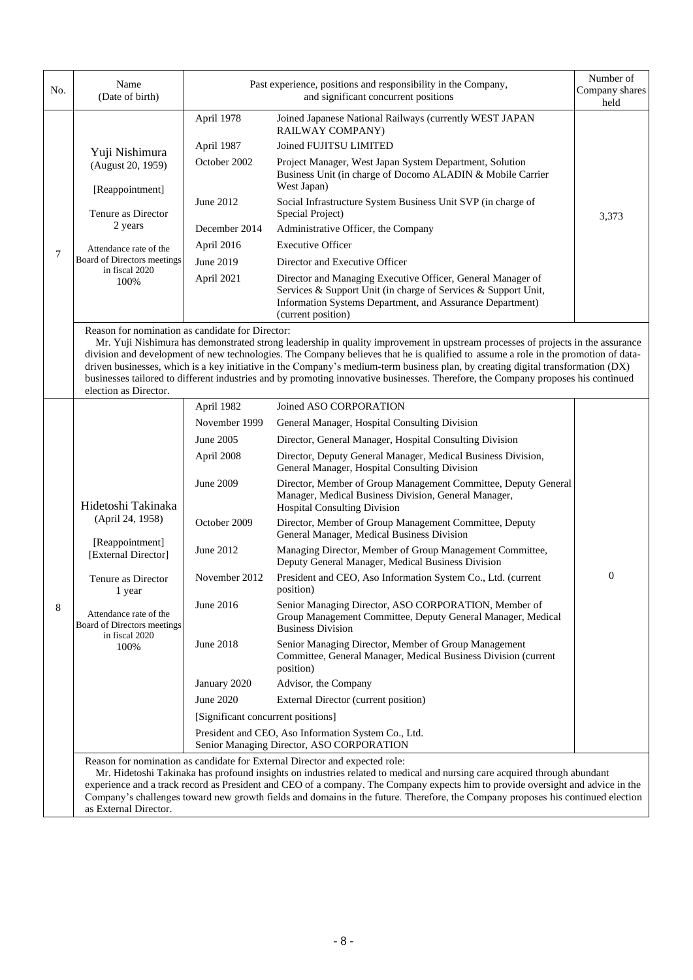| No. | Name<br>(Date of birth)                                                                                                                                                                                                                                                                                                                                                                                                                                                                                                                                                                                                     |                                    | Past experience, positions and responsibility in the Company,<br>and significant concurrent positions                                                                                                            | Number of<br>Company shares<br>held |  |  |
|-----|-----------------------------------------------------------------------------------------------------------------------------------------------------------------------------------------------------------------------------------------------------------------------------------------------------------------------------------------------------------------------------------------------------------------------------------------------------------------------------------------------------------------------------------------------------------------------------------------------------------------------------|------------------------------------|------------------------------------------------------------------------------------------------------------------------------------------------------------------------------------------------------------------|-------------------------------------|--|--|
|     |                                                                                                                                                                                                                                                                                                                                                                                                                                                                                                                                                                                                                             | April 1978                         | Joined Japanese National Railways (currently WEST JAPAN<br>RAILWAY COMPANY)                                                                                                                                      |                                     |  |  |
|     |                                                                                                                                                                                                                                                                                                                                                                                                                                                                                                                                                                                                                             | April 1987                         | Joined FUJITSU LIMITED                                                                                                                                                                                           |                                     |  |  |
|     | Yuji Nishimura<br>(August 20, 1959)<br>[Reappointment]                                                                                                                                                                                                                                                                                                                                                                                                                                                                                                                                                                      | October 2002                       | Project Manager, West Japan System Department, Solution<br>Business Unit (in charge of Docomo ALADIN & Mobile Carrier<br>West Japan)                                                                             |                                     |  |  |
|     | Tenure as Director<br>2 years                                                                                                                                                                                                                                                                                                                                                                                                                                                                                                                                                                                               | June 2012                          | Social Infrastructure System Business Unit SVP (in charge of<br>Special Project)                                                                                                                                 | 3,373                               |  |  |
|     |                                                                                                                                                                                                                                                                                                                                                                                                                                                                                                                                                                                                                             | December 2014                      | Administrative Officer, the Company                                                                                                                                                                              |                                     |  |  |
|     | Attendance rate of the                                                                                                                                                                                                                                                                                                                                                                                                                                                                                                                                                                                                      | April 2016                         | <b>Executive Officer</b>                                                                                                                                                                                         |                                     |  |  |
| 7   | Board of Directors meetings                                                                                                                                                                                                                                                                                                                                                                                                                                                                                                                                                                                                 | June 2019                          | Director and Executive Officer                                                                                                                                                                                   |                                     |  |  |
|     | in fiscal 2020<br>100%                                                                                                                                                                                                                                                                                                                                                                                                                                                                                                                                                                                                      | April 2021                         | Director and Managing Executive Officer, General Manager of<br>Services & Support Unit (in charge of Services & Support Unit,<br>Information Systems Department, and Assurance Department)<br>(current position) |                                     |  |  |
|     | Reason for nomination as candidate for Director:<br>Mr. Yuji Nishimura has demonstrated strong leadership in quality improvement in upstream processes of projects in the assurance<br>division and development of new technologies. The Company believes that he is qualified to assume a role in the promotion of data-<br>driven businesses, which is a key initiative in the Company's medium-term business plan, by creating digital transformation (DX)<br>businesses tailored to different industries and by promoting innovative businesses. Therefore, the Company proposes his continued<br>election as Director. |                                    |                                                                                                                                                                                                                  |                                     |  |  |
|     |                                                                                                                                                                                                                                                                                                                                                                                                                                                                                                                                                                                                                             | April 1982                         | Joined ASO CORPORATION                                                                                                                                                                                           |                                     |  |  |
|     |                                                                                                                                                                                                                                                                                                                                                                                                                                                                                                                                                                                                                             | November 1999                      | General Manager, Hospital Consulting Division                                                                                                                                                                    |                                     |  |  |
|     |                                                                                                                                                                                                                                                                                                                                                                                                                                                                                                                                                                                                                             | June 2005                          | Director, General Manager, Hospital Consulting Division                                                                                                                                                          |                                     |  |  |
|     |                                                                                                                                                                                                                                                                                                                                                                                                                                                                                                                                                                                                                             | April 2008                         | Director, Deputy General Manager, Medical Business Division,<br>General Manager, Hospital Consulting Division                                                                                                    |                                     |  |  |
|     | Hidetoshi Takinaka<br>(April 24, 1958)                                                                                                                                                                                                                                                                                                                                                                                                                                                                                                                                                                                      | June 2009                          | Director, Member of Group Management Committee, Deputy General<br>Manager, Medical Business Division, General Manager,<br><b>Hospital Consulting Division</b>                                                    |                                     |  |  |
|     |                                                                                                                                                                                                                                                                                                                                                                                                                                                                                                                                                                                                                             | October 2009                       | Director, Member of Group Management Committee, Deputy<br>General Manager, Medical Business Division                                                                                                             |                                     |  |  |
|     | [Reappointment]<br>[External Director]                                                                                                                                                                                                                                                                                                                                                                                                                                                                                                                                                                                      | June 2012                          | Managing Director, Member of Group Management Committee,<br>Deputy General Manager, Medical Business Division                                                                                                    |                                     |  |  |
|     | Tenure as Director<br>1 year                                                                                                                                                                                                                                                                                                                                                                                                                                                                                                                                                                                                | November 2012                      | President and CEO, Aso Information System Co., Ltd. (current<br>position)                                                                                                                                        | $\boldsymbol{0}$                    |  |  |
| 8   | Attendance rate of the<br>Board of Directors meetings                                                                                                                                                                                                                                                                                                                                                                                                                                                                                                                                                                       | June 2016                          | Senior Managing Director, ASO CORPORATION, Member of<br>Group Management Committee, Deputy General Manager, Medical<br><b>Business Division</b>                                                                  |                                     |  |  |
|     | in fiscal 2020<br>100%                                                                                                                                                                                                                                                                                                                                                                                                                                                                                                                                                                                                      | June 2018                          | Senior Managing Director, Member of Group Management<br>Committee, General Manager, Medical Business Division (current<br>position)                                                                              |                                     |  |  |
|     |                                                                                                                                                                                                                                                                                                                                                                                                                                                                                                                                                                                                                             | January 2020                       | Advisor, the Company                                                                                                                                                                                             |                                     |  |  |
|     |                                                                                                                                                                                                                                                                                                                                                                                                                                                                                                                                                                                                                             | June 2020                          | External Director (current position)                                                                                                                                                                             |                                     |  |  |
|     |                                                                                                                                                                                                                                                                                                                                                                                                                                                                                                                                                                                                                             | [Significant concurrent positions] |                                                                                                                                                                                                                  |                                     |  |  |
|     |                                                                                                                                                                                                                                                                                                                                                                                                                                                                                                                                                                                                                             |                                    | President and CEO, Aso Information System Co., Ltd.                                                                                                                                                              |                                     |  |  |
|     |                                                                                                                                                                                                                                                                                                                                                                                                                                                                                                                                                                                                                             |                                    | Senior Managing Director, ASO CORPORATION                                                                                                                                                                        |                                     |  |  |
|     | Reason for nomination as candidate for External Director and expected role:<br>Mr. Hidetoshi Takinaka has profound insights on industries related to medical and nursing care acquired through abundant<br>ance and a track record as President and CEO of a company. The Company expects him to provide oversight and advice in the                                                                                                                                                                                                                                                                                        |                                    |                                                                                                                                                                                                                  |                                     |  |  |

experience and a track record as President and CEO of a company. The Company expects him to provide oversight and advice in the Company's challenges toward new growth fields and domains in the future. Therefore, the Company proposes his continued election as External Director.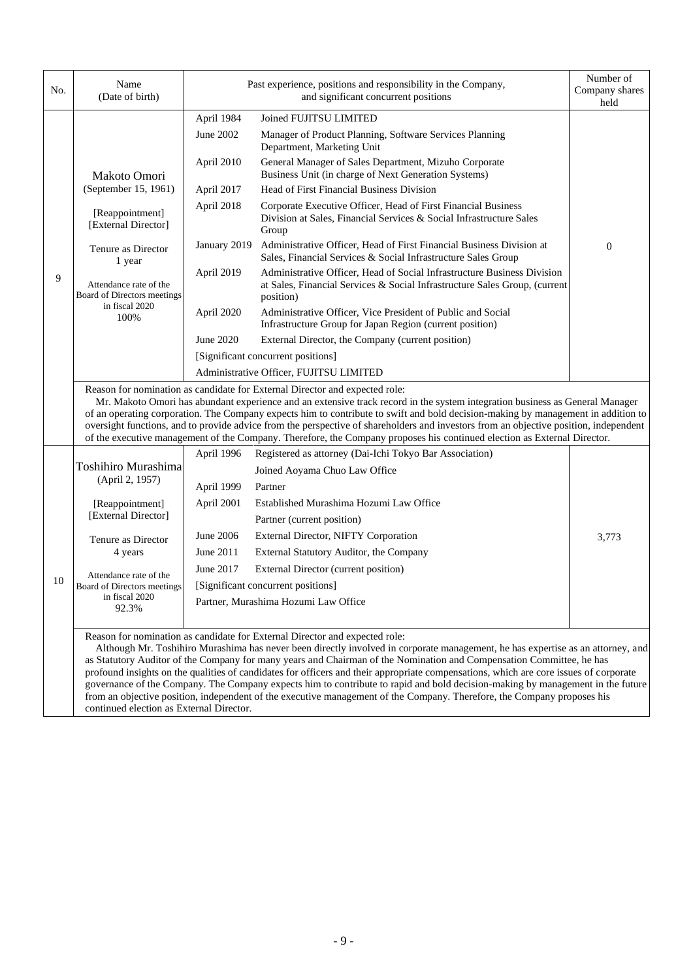| No. | Name<br>(Date of birth)                                                                                                                                                                                                                                                                                                                                                                                                                                                                                                                                                                                                                                                                                                                      | Past experience, positions and responsibility in the Company, | Number of<br>Company shares<br>held                                                                                                                                |                  |  |  |
|-----|----------------------------------------------------------------------------------------------------------------------------------------------------------------------------------------------------------------------------------------------------------------------------------------------------------------------------------------------------------------------------------------------------------------------------------------------------------------------------------------------------------------------------------------------------------------------------------------------------------------------------------------------------------------------------------------------------------------------------------------------|---------------------------------------------------------------|--------------------------------------------------------------------------------------------------------------------------------------------------------------------|------------------|--|--|
|     |                                                                                                                                                                                                                                                                                                                                                                                                                                                                                                                                                                                                                                                                                                                                              | April 1984                                                    | Joined FUJITSU LIMITED                                                                                                                                             |                  |  |  |
|     |                                                                                                                                                                                                                                                                                                                                                                                                                                                                                                                                                                                                                                                                                                                                              | June 2002                                                     | Manager of Product Planning, Software Services Planning<br>Department, Marketing Unit                                                                              |                  |  |  |
|     | Makoto Omori<br>(September 15, 1961)                                                                                                                                                                                                                                                                                                                                                                                                                                                                                                                                                                                                                                                                                                         | April 2010                                                    | General Manager of Sales Department, Mizuho Corporate<br>Business Unit (in charge of Next Generation Systems)                                                      |                  |  |  |
|     |                                                                                                                                                                                                                                                                                                                                                                                                                                                                                                                                                                                                                                                                                                                                              | April 2017                                                    | Head of First Financial Business Division                                                                                                                          |                  |  |  |
|     | [Reappointment]<br>[External Director]                                                                                                                                                                                                                                                                                                                                                                                                                                                                                                                                                                                                                                                                                                       | April 2018                                                    | Corporate Executive Officer, Head of First Financial Business<br>Division at Sales, Financial Services & Social Infrastructure Sales<br>Group                      |                  |  |  |
|     | Tenure as Director<br>1 year                                                                                                                                                                                                                                                                                                                                                                                                                                                                                                                                                                                                                                                                                                                 | January 2019                                                  | Administrative Officer, Head of First Financial Business Division at<br>Sales, Financial Services & Social Infrastructure Sales Group                              | $\boldsymbol{0}$ |  |  |
| 9   | Attendance rate of the<br>Board of Directors meetings                                                                                                                                                                                                                                                                                                                                                                                                                                                                                                                                                                                                                                                                                        | April 2019                                                    | Administrative Officer, Head of Social Infrastructure Business Division<br>at Sales, Financial Services & Social Infrastructure Sales Group, (current<br>position) |                  |  |  |
|     | in fiscal 2020<br>100%                                                                                                                                                                                                                                                                                                                                                                                                                                                                                                                                                                                                                                                                                                                       | April 2020                                                    | Administrative Officer, Vice President of Public and Social<br>Infrastructure Group for Japan Region (current position)                                            |                  |  |  |
|     |                                                                                                                                                                                                                                                                                                                                                                                                                                                                                                                                                                                                                                                                                                                                              | June 2020                                                     | External Director, the Company (current position)                                                                                                                  |                  |  |  |
|     |                                                                                                                                                                                                                                                                                                                                                                                                                                                                                                                                                                                                                                                                                                                                              |                                                               | [Significant concurrent positions]                                                                                                                                 |                  |  |  |
|     |                                                                                                                                                                                                                                                                                                                                                                                                                                                                                                                                                                                                                                                                                                                                              | Administrative Officer, FUJITSU LIMITED                       |                                                                                                                                                                    |                  |  |  |
|     | Reason for nomination as candidate for External Director and expected role:<br>Mr. Makoto Omori has abundant experience and an extensive track record in the system integration business as General Manager<br>of an operating corporation. The Company expects him to contribute to swift and bold decision-making by management in addition to<br>oversight functions, and to provide advice from the perspective of shareholders and investors from an objective position, independent<br>of the executive management of the Company. Therefore, the Company proposes his continued election as External Director.                                                                                                                        |                                                               |                                                                                                                                                                    |                  |  |  |
|     |                                                                                                                                                                                                                                                                                                                                                                                                                                                                                                                                                                                                                                                                                                                                              | April 1996                                                    | Registered as attorney (Dai-Ichi Tokyo Bar Association)                                                                                                            |                  |  |  |
|     | <b>Toshihiro Murashima</b><br>(April 2, 1957)                                                                                                                                                                                                                                                                                                                                                                                                                                                                                                                                                                                                                                                                                                |                                                               | Joined Aoyama Chuo Law Office                                                                                                                                      |                  |  |  |
|     |                                                                                                                                                                                                                                                                                                                                                                                                                                                                                                                                                                                                                                                                                                                                              | April 1999                                                    | Partner                                                                                                                                                            |                  |  |  |
|     | [Reappointment]<br>[External Director]                                                                                                                                                                                                                                                                                                                                                                                                                                                                                                                                                                                                                                                                                                       | April 2001                                                    | Established Murashima Hozumi Law Office                                                                                                                            |                  |  |  |
|     |                                                                                                                                                                                                                                                                                                                                                                                                                                                                                                                                                                                                                                                                                                                                              |                                                               | Partner (current position)                                                                                                                                         |                  |  |  |
|     | Tenure as Director<br>4 years                                                                                                                                                                                                                                                                                                                                                                                                                                                                                                                                                                                                                                                                                                                | June 2006                                                     | External Director, NIFTY Corporation                                                                                                                               | 3,773            |  |  |
|     |                                                                                                                                                                                                                                                                                                                                                                                                                                                                                                                                                                                                                                                                                                                                              | June 2011                                                     | External Statutory Auditor, the Company                                                                                                                            |                  |  |  |
|     | Attendance rate of the<br>Board of Directors meetings<br>in fiscal 2020<br>92.3%                                                                                                                                                                                                                                                                                                                                                                                                                                                                                                                                                                                                                                                             | June 2017                                                     | External Director (current position)                                                                                                                               |                  |  |  |
| 10  |                                                                                                                                                                                                                                                                                                                                                                                                                                                                                                                                                                                                                                                                                                                                              | [Significant concurrent positions]                            |                                                                                                                                                                    |                  |  |  |
|     |                                                                                                                                                                                                                                                                                                                                                                                                                                                                                                                                                                                                                                                                                                                                              |                                                               | Partner, Murashima Hozumi Law Office                                                                                                                               |                  |  |  |
|     |                                                                                                                                                                                                                                                                                                                                                                                                                                                                                                                                                                                                                                                                                                                                              |                                                               |                                                                                                                                                                    |                  |  |  |
|     | Reason for nomination as candidate for External Director and expected role:<br>Although Mr. Toshihiro Murashima has never been directly involved in corporate management, he has expertise as an attorney, and<br>as Statutory Auditor of the Company for many years and Chairman of the Nomination and Compensation Committee, he has<br>profound insights on the qualities of candidates for officers and their appropriate compensations, which are core issues of corporate<br>governance of the Company. The Company expects him to contribute to rapid and bold decision-making by management in the future<br>from an objective position, independent of the executive management of the Company. Therefore, the Company proposes his |                                                               |                                                                                                                                                                    |                  |  |  |
|     | continued election as External Director.                                                                                                                                                                                                                                                                                                                                                                                                                                                                                                                                                                                                                                                                                                     |                                                               |                                                                                                                                                                    |                  |  |  |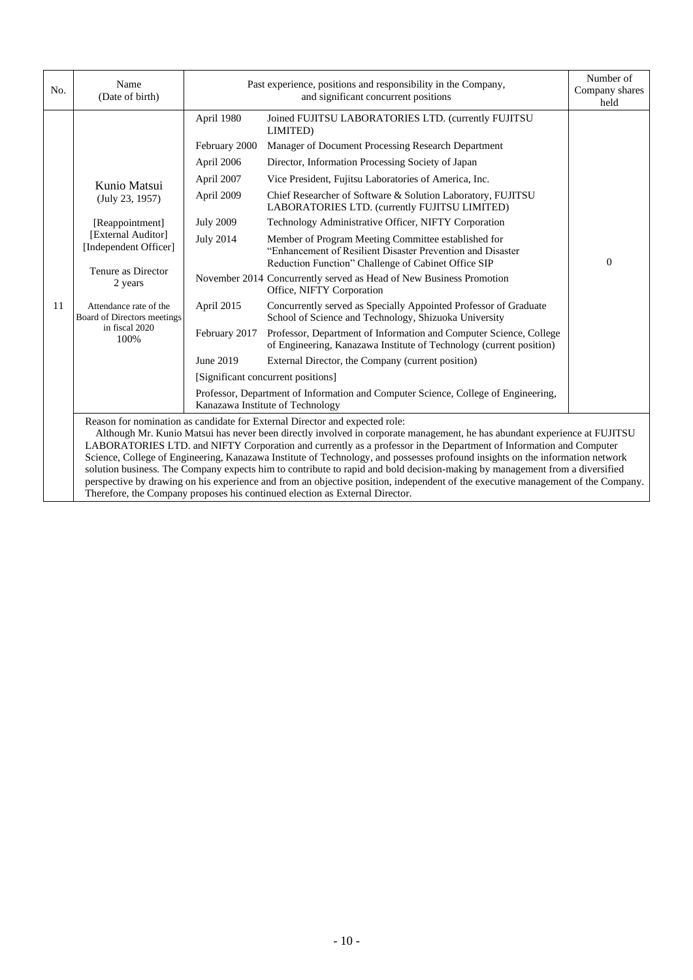| No. | Name<br>(Date of birth)                                                                                                                                                                                                                                                                                                                                                                                                                                                                                                                                                                                                                                                                                                                                                                                            | Past experience, positions and responsibility in the Company,<br>and significant concurrent positions |                                                                                                                                                                          | Number of<br>Company shares<br>held |
|-----|--------------------------------------------------------------------------------------------------------------------------------------------------------------------------------------------------------------------------------------------------------------------------------------------------------------------------------------------------------------------------------------------------------------------------------------------------------------------------------------------------------------------------------------------------------------------------------------------------------------------------------------------------------------------------------------------------------------------------------------------------------------------------------------------------------------------|-------------------------------------------------------------------------------------------------------|--------------------------------------------------------------------------------------------------------------------------------------------------------------------------|-------------------------------------|
|     |                                                                                                                                                                                                                                                                                                                                                                                                                                                                                                                                                                                                                                                                                                                                                                                                                    | April 1980                                                                                            | Joined FUJITSU LABORATORIES LTD. (currently FUJITSU<br>LIMITED)                                                                                                          |                                     |
|     |                                                                                                                                                                                                                                                                                                                                                                                                                                                                                                                                                                                                                                                                                                                                                                                                                    | February 2000                                                                                         | Manager of Document Processing Research Department                                                                                                                       |                                     |
|     |                                                                                                                                                                                                                                                                                                                                                                                                                                                                                                                                                                                                                                                                                                                                                                                                                    | April 2006                                                                                            | Director, Information Processing Society of Japan                                                                                                                        |                                     |
|     | Kunio Matsui                                                                                                                                                                                                                                                                                                                                                                                                                                                                                                                                                                                                                                                                                                                                                                                                       | April 2007                                                                                            | Vice President, Fujitsu Laboratories of America, Inc.                                                                                                                    |                                     |
|     | (July 23, 1957)                                                                                                                                                                                                                                                                                                                                                                                                                                                                                                                                                                                                                                                                                                                                                                                                    | April 2009                                                                                            | Chief Researcher of Software & Solution Laboratory, FUJITSU<br>LABORATORIES LTD. (currently FUJITSU LIMITED)                                                             |                                     |
|     | [Reappointment]                                                                                                                                                                                                                                                                                                                                                                                                                                                                                                                                                                                                                                                                                                                                                                                                    | <b>July 2009</b>                                                                                      | Technology Administrative Officer, NIFTY Corporation                                                                                                                     |                                     |
| 11  | [External Auditor]<br>[Independent Officer]                                                                                                                                                                                                                                                                                                                                                                                                                                                                                                                                                                                                                                                                                                                                                                        | <b>July 2014</b>                                                                                      | Member of Program Meeting Committee established for<br>"Enhancement of Resilient Disaster Prevention and Disaster<br>Reduction Function" Challenge of Cabinet Office SIP | $\Omega$                            |
|     | Tenure as Director<br>2 years                                                                                                                                                                                                                                                                                                                                                                                                                                                                                                                                                                                                                                                                                                                                                                                      |                                                                                                       | November 2014 Concurrently served as Head of New Business Promotion<br>Office, NIFTY Corporation                                                                         |                                     |
|     | Attendance rate of the<br>Board of Directors meetings<br>in fiscal 2020<br>100%                                                                                                                                                                                                                                                                                                                                                                                                                                                                                                                                                                                                                                                                                                                                    | April 2015                                                                                            | Concurrently served as Specially Appointed Professor of Graduate<br>School of Science and Technology, Shizuoka University                                                |                                     |
|     |                                                                                                                                                                                                                                                                                                                                                                                                                                                                                                                                                                                                                                                                                                                                                                                                                    | February 2017                                                                                         | Professor, Department of Information and Computer Science, College<br>of Engineering, Kanazawa Institute of Technology (current position)                                |                                     |
|     |                                                                                                                                                                                                                                                                                                                                                                                                                                                                                                                                                                                                                                                                                                                                                                                                                    | June 2019                                                                                             | External Director, the Company (current position)                                                                                                                        |                                     |
|     |                                                                                                                                                                                                                                                                                                                                                                                                                                                                                                                                                                                                                                                                                                                                                                                                                    |                                                                                                       | [Significant concurrent positions]                                                                                                                                       |                                     |
|     |                                                                                                                                                                                                                                                                                                                                                                                                                                                                                                                                                                                                                                                                                                                                                                                                                    |                                                                                                       | Professor, Department of Information and Computer Science, College of Engineering,<br>Kanazawa Institute of Technology                                                   |                                     |
|     | Reason for nomination as candidate for External Director and expected role:<br>Although Mr. Kunio Matsui has never been directly involved in corporate management, he has abundant experience at FUJITSU<br>LABORATORIES LTD. and NIFTY Corporation and currently as a professor in the Department of Information and Computer<br>Science, College of Engineering, Kanazawa Institute of Technology, and possesses profound insights on the information network<br>solution business. The Company expects him to contribute to rapid and bold decision-making by management from a diversified<br>perspective by drawing on his experience and from an objective position, independent of the executive management of the Company.<br>Therefore, the Company proposes his continued election as External Director. |                                                                                                       |                                                                                                                                                                          |                                     |